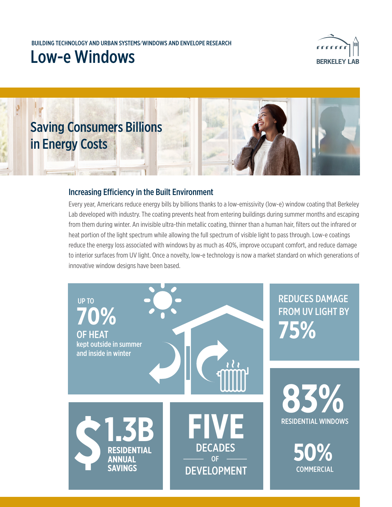### Low-e Windows





### Increasing Efficiency in the Built Environment

Every year, Americans reduce energy bills by billions thanks to a low-emissivity (low-e) window coating that Berkeley Lab developed with industry. The coating prevents heat from entering buildings during summer months and escaping from them during winter. An invisible ultra-thin metallic coating, thinner than a human hair, filters out the infrared or heat portion of the light spectrum while allowing the full spectrum of visible light to pass through. Low-e coatings reduce the energy loss associated with windows by as much as 40%, improve occupant comfort, and reduce damage to interior surfaces from UV light. Once a novelty, low-e technology is now a market standard on which generations of innovative window designs have been based.